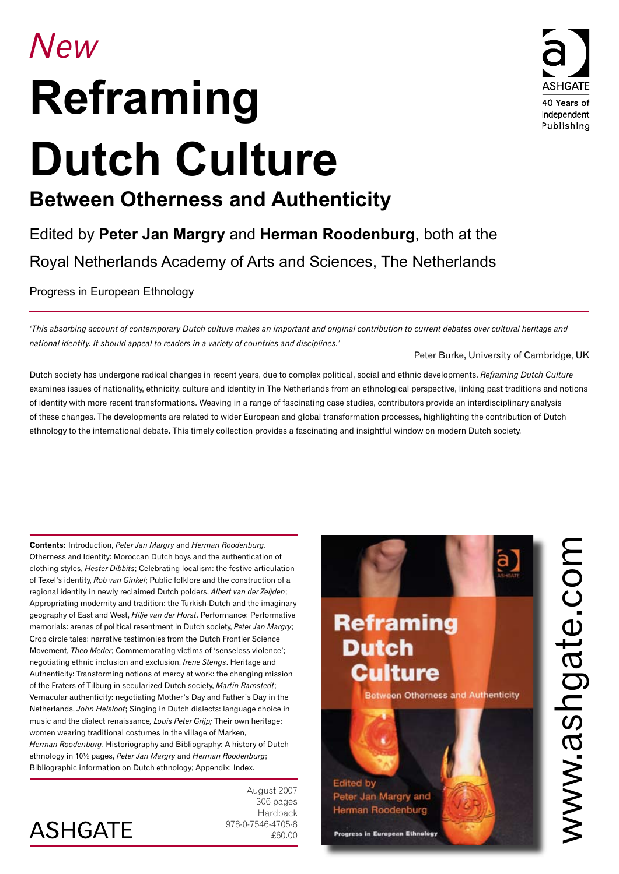# *New* **Reframing Dutch Culture**



## **Between Otherness and Authenticity**

Edited by **Peter Jan Margry** and **Herman Roodenburg**, both at the Royal Netherlands Academy of Arts and Sciences, The Netherlands

Progress in European Ethnology

*'This absorbing account of contemporary Dutch culture makes an important and original contribution to current debates over cultural heritage and national identity. It should appeal to readers in a variety of countries and disciplines.'*

#### Peter Burke, University of Cambridge, UK

Dutch society has undergone radical changes in recent years, due to complex political, social and ethnic developments. *Reframing Dutch Culture*  examines issues of nationality, ethnicity, culture and identity in The Netherlands from an ethnological perspective, linking past traditions and notions of identity with more recent transformations. Weaving in a range of fascinating case studies, contributors provide an interdisciplinary analysis of these changes. The developments are related to wider European and global transformation processes, highlighting the contribution of Dutch ethnology to the international debate. This timely collection provides a fascinating and insightful window on modern Dutch society.

**Contents:** Introduction, *Peter Jan Margry* and *Herman Roodenburg*. Otherness and Identity: Moroccan Dutch boys and the authentication of clothing styles, *Hester Dibbits*; Celebrating localism: the festive articulation of Texel's identity, *Rob van Ginkel*; Public folklore and the construction of a regional identity in newly reclaimed Dutch polders, *Albert van der Zeijden*; Appropriating modernity and tradition: the Turkish-Dutch and the imaginary geography of East and West, *Hilje van der Horst*. Performance: Performative memorials: arenas of political resentment in Dutch society, *Peter Jan Margry*; Crop circle tales: narrative testimonies from the Dutch Frontier Science Movement, *Theo Meder*; Commemorating victims of 'senseless violence'; negotiating ethnic inclusion and exclusion, *Irene Stengs*. Heritage and Authenticity: Transforming notions of mercy at work: the changing mission of the Fraters of Tilburg in secularized Dutch society, *Martin Ramstedt*; Vernacular authenticity: negotiating Mother's Day and Father's Day in the Netherlands, *John Helsloot*; Singing in Dutch dialects: language choice in music and the dialect renaissance*, Louis Peter Grijp;* Their own heritage: women wearing traditional costumes in the village of Marken, *Herman Roodenburg*. Historiography and Bibliography: A history of Dutch ethnology in 10½ pages, *Peter Jan Margry* and *Herman Roodenburg*; Bibliographic information on Dutch ethnology; Appendix; Index.



August 2007 306 pages Hardback 978-0-7546-4705-8 £60.00